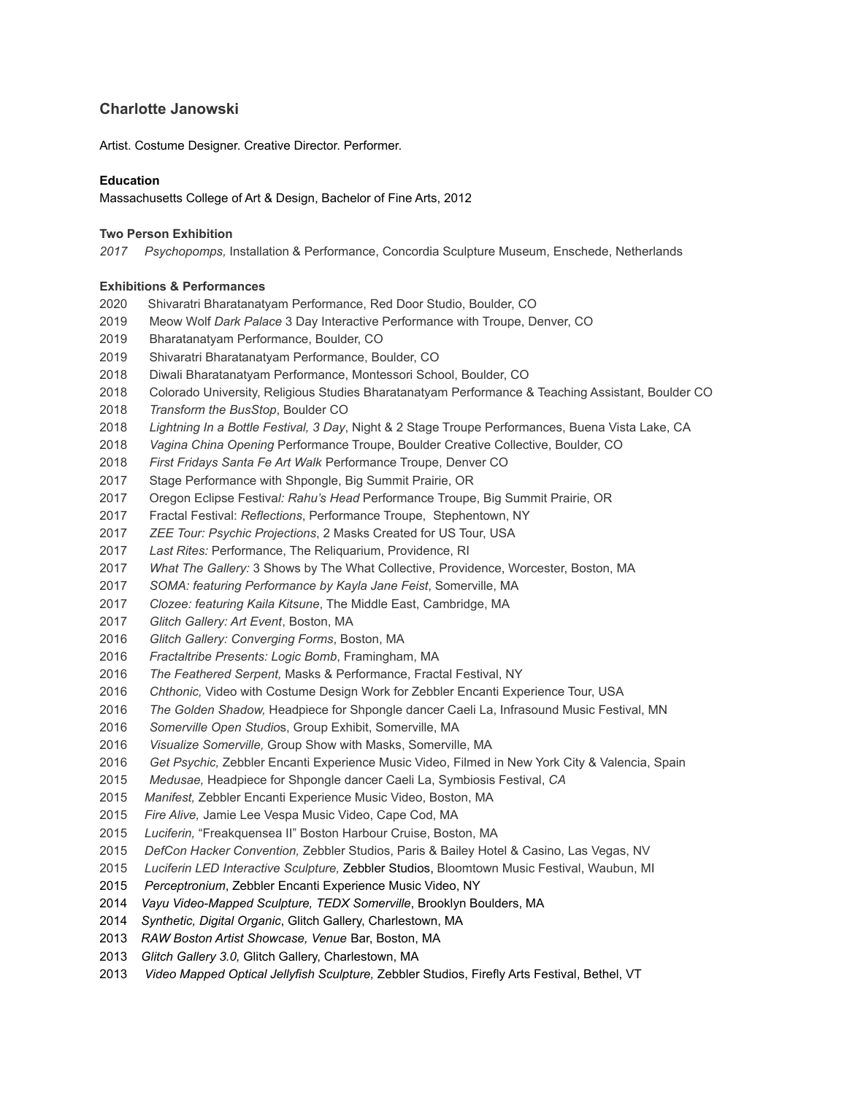# **Charlotte Janowski**

Artist. Costume Designer. Creative Director. Performer.

### **Education**

Massachusetts College of Art & Design, Bachelor of Fine Arts, 2012

#### **Two Person Exhibition**

*2017 Psychopomps,* Installation & Performance, Concordia Sculpture Museum, Enschede, Netherlands

#### **Exhibitions & Performances**

- 2020 Shivaratri Bharatanatyam Performance, Red Door Studio, Boulder, CO
- Meow Wolf *Dark Palace* 3 Day Interactive Performance with Troupe, Denver, CO
- Bharatanatyam Performance, Boulder, CO
- Shivaratri Bharatanatyam Performance, Boulder, CO
- Diwali Bharatanatyam Performance, Montessori School, Boulder, CO
- Colorado University, Religious Studies Bharatanatyam Performance & Teaching Assistant, Boulder CO
- *Transform the BusStop*, Boulder CO
- *Lightning In a Bottle Festival, 3 Day*, Night & 2 Stage Troupe Performances, Buena Vista Lake, CA
- *Vagina China Opening* Performance Troupe, Boulder Creative Collective, Boulder, CO
- *First Fridays Santa Fe Art Walk* Performance Troupe, Denver CO
- Stage Performance with Shpongle, Big Summit Prairie, OR
- Oregon Eclipse Festiva*l: Rahu's Head* Performance Troupe, Big Summit Prairie, OR
- Fractal Festival: *Reflections*, Performance Troupe, Stephentown, NY
- *ZEE Tour: Psychic Projections*, 2 Masks Created for US Tour, USA
- *Last Rites:* Performance, The Reliquarium, Providence, RI
- *What The Gallery:* 3 Shows by The What Collective, Providence, Worcester, Boston, MA
- *SOMA: featuring Performance by Kayla Jane Feist*, Somerville, MA
- *Clozee: featuring Kaila Kitsune*, The Middle East, Cambridge, MA
- *Glitch Gallery: Art Event*, Boston, MA
- *Glitch Gallery: Converging Forms*, Boston, MA
- *Fractaltribe Presents: Logic Bomb*, Framingham, MA
- *The Feathered Serpent,* Masks & Performance, Fractal Festival, NY
- *Chthonic,* Video with Costume Design Work for Zebbler Encanti Experience Tour, USA
- *The Golden Shadow,* Headpiece for Shpongle dancer Caeli La, Infrasound Music Festival, MN
- *Somerville Open Studio*s, Group Exhibit, Somerville, MA
- *Visualize Somerville,* Group Show with Masks, Somerville, MA
- *Get Psychic,* Zebbler Encanti Experience Music Video, Filmed in New York City & Valencia, Spain
- *Medusae,* Headpiece for Shpongle dancer Caeli La, Symbiosis Festival, *CA*
- *Manifest,* Zebbler Encanti Experience Music Video, Boston, MA
- *Fire Alive,* Jamie Lee Vespa Music Video, Cape Cod, MA
- *Luciferin,* "Freakquensea II" Boston Harbour Cruise, Boston, MA
- *DefCon Hacker Convention,* Zebbler Studios, Paris & Bailey Hotel & Casino, Las Vegas, NV
- *Luciferin LED Interactive Sculpture,* Zebbler Studios, Bloomtown Music Festival, Waubun, MI
- *Perceptronium*, Zebbler Encanti Experience Music Video, NY
- *Vayu Video-Mapped Sculpture, TEDX Somerville*, Brooklyn Boulders, MA
- *Synthetic, Digital Organic*, Glitch Gallery, Charlestown, MA
- *RAW Boston Artist Showcase, Venue* Bar, Boston, MA
- *Glitch Gallery 3.0,* Glitch Gallery, Charlestown, MA
- *Video Mapped Optical Jellyfish Sculpture,* Zebbler Studios, Firefly Arts Festival, Bethel, VT